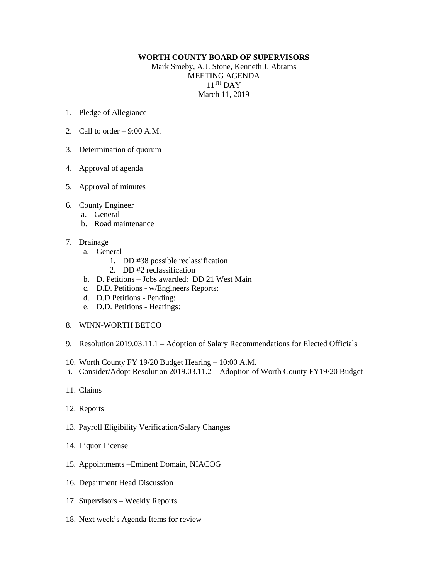## **WORTH COUNTY BOARD OF SUPERVISORS**

Mark Smeby, A.J. Stone, Kenneth J. Abrams MEETING AGENDA  $11<sup>TH</sup>$  DAY March 11, 2019

- 1. Pledge of Allegiance
- 2. Call to order  $-9:00$  A.M.
- 3. Determination of quorum
- 4. Approval of agenda
- 5. Approval of minutes
- 6. County Engineer
	- a. General
	- b. Road maintenance
- 7. Drainage
	- a. General
		- 1. DD #38 possible reclassification
		- 2. DD #2 reclassification
	- b. D. Petitions Jobs awarded: DD 21 West Main
	- c. D.D. Petitions w/Engineers Reports:
	- d. D.D Petitions Pending:
	- e. D.D. Petitions Hearings:
- 8. WINN-WORTH BETCO
- 9. Resolution 2019.03.11.1 Adoption of Salary Recommendations for Elected Officials
- 10. Worth County FY 19/20 Budget Hearing 10:00 A.M.
- i. Consider/Adopt Resolution 2019.03.11.2 Adoption of Worth County FY19/20 Budget
- 11. Claims
- 12. Reports
- 13. Payroll Eligibility Verification/Salary Changes
- 14. Liquor License
- 15. Appointments –Eminent Domain, NIACOG
- 16. Department Head Discussion
- 17. Supervisors Weekly Reports
- 18. Next week's Agenda Items for review